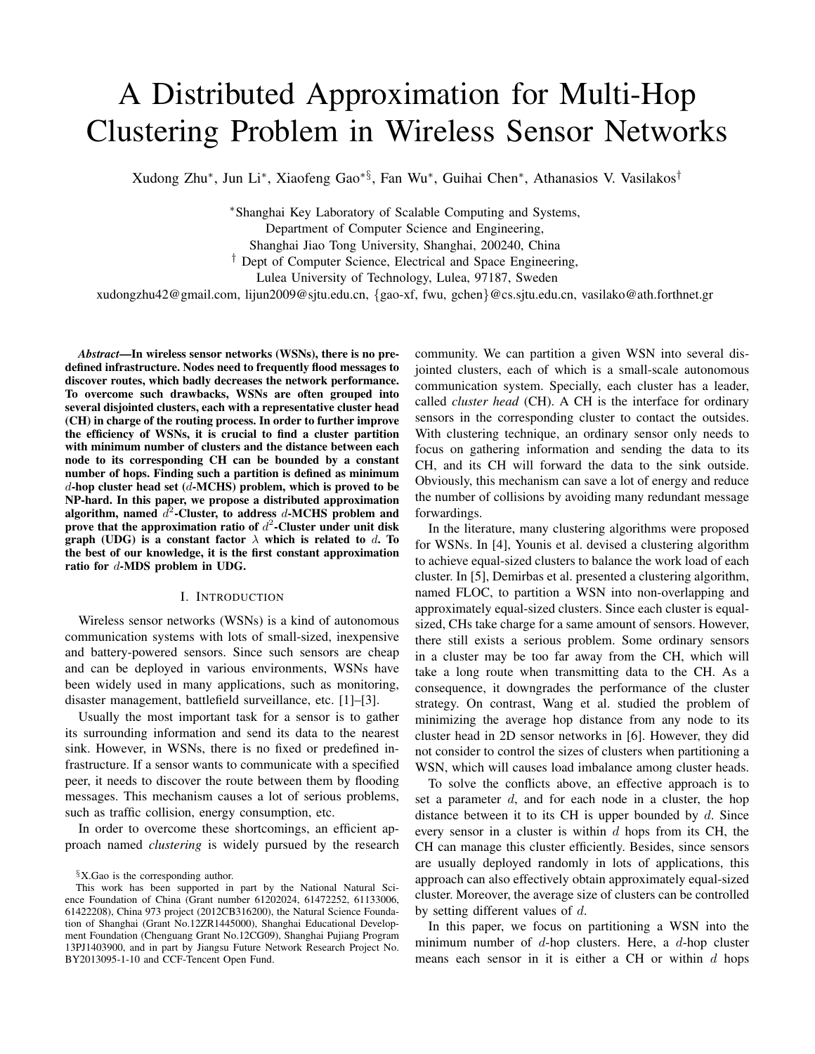# A Distributed Approximation for Multi-Hop Clustering Problem in Wireless Sensor Networks

Xudong Zhu<sup>∗</sup> , Jun Li<sup>∗</sup> , Xiaofeng Gao∗§, Fan Wu<sup>∗</sup> , Guihai Chen<sup>∗</sup> , Athanasios V. Vasilakos†

<sup>∗</sup>Shanghai Key Laboratory of Scalable Computing and Systems,

Department of Computer Science and Engineering,

Shanghai Jiao Tong University, Shanghai, 200240, China

† Dept of Computer Science, Electrical and Space Engineering,

Lulea University of Technology, Lulea, 97187, Sweden

xudongzhu42@gmail.com, lijun2009@sjtu.edu.cn, {gao-xf, fwu, gchen}@cs.sjtu.edu.cn, vasilako@ath.forthnet.gr

*Abstract*—In wireless sensor networks (WSNs), there is no predefined infrastructure. Nodes need to frequently flood messages to discover routes, which badly decreases the network performance. To overcome such drawbacks, WSNs are often grouped into several disjointed clusters, each with a representative cluster head (CH) in charge of the routing process. In order to further improve the efficiency of WSNs, it is crucial to find a cluster partition with minimum number of clusters and the distance between each node to its corresponding CH can be bounded by a constant number of hops. Finding such a partition is defined as minimum d-hop cluster head set (d-MCHS) problem, which is proved to be NP-hard. In this paper, we propose a distributed approximation algorithm, named  $d^2$ -Cluster, to address  $d$ -MCHS problem and prove that the approximation ratio of  $d^2$ -Cluster under unit disk graph (UDG) is a constant factor  $\lambda$  which is related to d. To the best of our knowledge, it is the first constant approximation ratio for d-MDS problem in UDG.

#### I. INTRODUCTION

Wireless sensor networks (WSNs) is a kind of autonomous communication systems with lots of small-sized, inexpensive and battery-powered sensors. Since such sensors are cheap and can be deployed in various environments, WSNs have been widely used in many applications, such as monitoring, disaster management, battlefield surveillance, etc. [1]–[3].

Usually the most important task for a sensor is to gather its surrounding information and send its data to the nearest sink. However, in WSNs, there is no fixed or predefined infrastructure. If a sensor wants to communicate with a specified peer, it needs to discover the route between them by flooding messages. This mechanism causes a lot of serious problems, such as traffic collision, energy consumption, etc.

In order to overcome these shortcomings, an efficient approach named *clustering* is widely pursued by the research

community. We can partition a given WSN into several disjointed clusters, each of which is a small-scale autonomous communication system. Specially, each cluster has a leader, called *cluster head* (CH). A CH is the interface for ordinary sensors in the corresponding cluster to contact the outsides. With clustering technique, an ordinary sensor only needs to focus on gathering information and sending the data to its CH, and its CH will forward the data to the sink outside. Obviously, this mechanism can save a lot of energy and reduce the number of collisions by avoiding many redundant message forwardings.

In the literature, many clustering algorithms were proposed for WSNs. In [4], Younis et al. devised a clustering algorithm to achieve equal-sized clusters to balance the work load of each cluster. In [5], Demirbas et al. presented a clustering algorithm, named FLOC, to partition a WSN into non-overlapping and approximately equal-sized clusters. Since each cluster is equalsized, CHs take charge for a same amount of sensors. However, there still exists a serious problem. Some ordinary sensors in a cluster may be too far away from the CH, which will take a long route when transmitting data to the CH. As a consequence, it downgrades the performance of the cluster strategy. On contrast, Wang et al. studied the problem of minimizing the average hop distance from any node to its cluster head in 2D sensor networks in [6]. However, they did not consider to control the sizes of clusters when partitioning a WSN, which will causes load imbalance among cluster heads.

To solve the conflicts above, an effective approach is to set a parameter d, and for each node in a cluster, the hop distance between it to its CH is upper bounded by  $d$ . Since every sensor in a cluster is within  $d$  hops from its CH, the CH can manage this cluster efficiently. Besides, since sensors are usually deployed randomly in lots of applications, this approach can also effectively obtain approximately equal-sized cluster. Moreover, the average size of clusters can be controlled by setting different values of d.

In this paper, we focus on partitioning a WSN into the minimum number of  $d$ -hop clusters. Here, a  $d$ -hop cluster means each sensor in it is either a CH or within  $d$  hops

<sup>§</sup>X.Gao is the corresponding author.

This work has been supported in part by the National Natural Science Foundation of China (Grant number 61202024, 61472252, 61133006, 61422208), China 973 project (2012CB316200), the Natural Science Foundation of Shanghai (Grant No.12ZR1445000), Shanghai Educational Development Foundation (Chenguang Grant No.12CG09), Shanghai Pujiang Program 13PJ1403900, and in part by Jiangsu Future Network Research Project No. BY2013095-1-10 and CCF-Tencent Open Fund.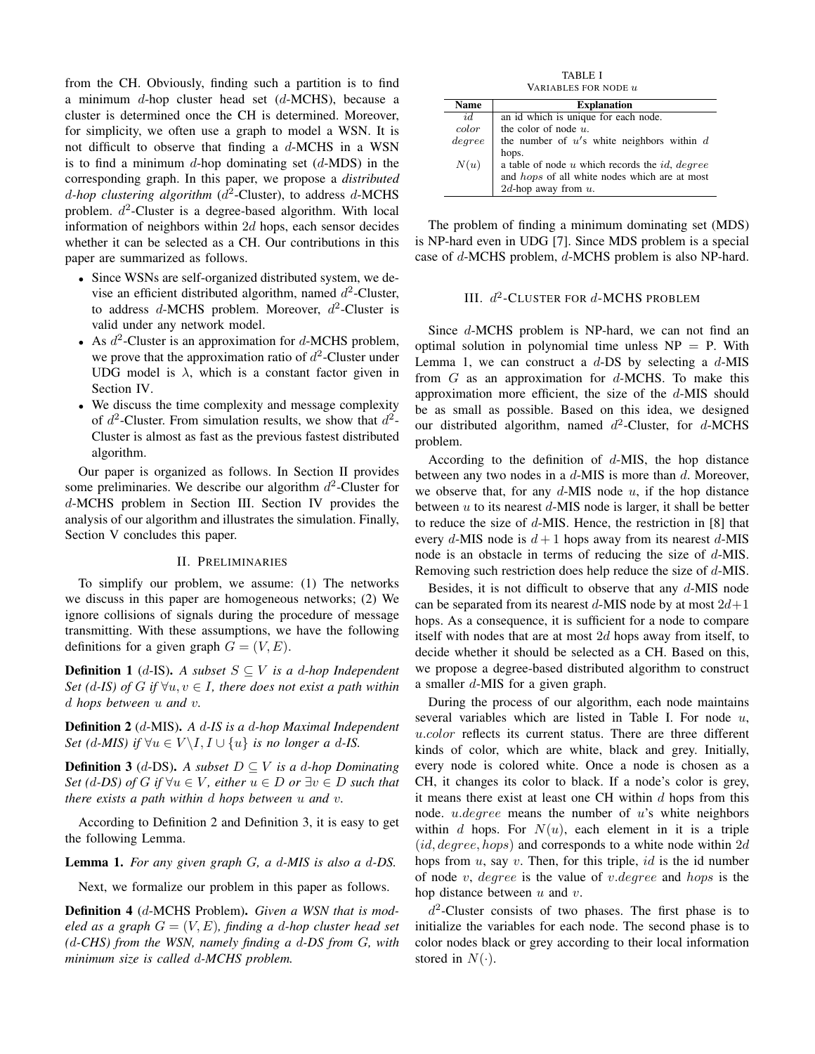from the CH. Obviously, finding such a partition is to find a minimum  $d$ -hop cluster head set  $(d$ -MCHS), because a cluster is determined once the CH is determined. Moreover, for simplicity, we often use a graph to model a WSN. It is not difficult to observe that finding a d-MCHS in a WSN is to find a minimum  $d$ -hop dominating set  $(d-MDS)$  in the corresponding graph. In this paper, we propose a *distributed*  $d$ -hop clustering algorithm ( $d^2$ -Cluster), to address  $d$ -MCHS problem.  $d^2$ -Cluster is a degree-based algorithm. With local information of neighbors within  $2d$  hops, each sensor decides whether it can be selected as a CH. Our contributions in this paper are summarized as follows.

- Since WSNs are self-organized distributed system, we devise an efficient distributed algorithm, named  $d^2$ -Cluster, to address  $d$ -MCHS problem. Moreover,  $d^2$ -Cluster is valid under any network model.
- As  $d^2$ -Cluster is an approximation for  $d$ -MCHS problem, we prove that the approximation ratio of  $d^2$ -Cluster under UDG model is  $\lambda$ , which is a constant factor given in Section IV.
- We discuss the time complexity and message complexity of  $d^2$ -Cluster. From simulation results, we show that  $d^2$ -Cluster is almost as fast as the previous fastest distributed algorithm.

Our paper is organized as follows. In Section II provides some preliminaries. We describe our algorithm  $d^2$ -Cluster for d-MCHS problem in Section III. Section IV provides the analysis of our algorithm and illustrates the simulation. Finally, Section V concludes this paper.

#### II. PRELIMINARIES

To simplify our problem, we assume: (1) The networks we discuss in this paper are homogeneous networks; (2) We ignore collisions of signals during the procedure of message transmitting. With these assumptions, we have the following definitions for a given graph  $G = (V, E)$ .

**Definition 1** (d-IS). A subset  $S \subseteq V$  is a d-hop Independent *Set (d-IS) of G if*  $\forall u, v \in I$ *, there does not exist a path within* d *hops between* u *and* v*.*

Definition 2 (d-MIS). *A* d*-IS is a* d*-hop Maximal Independent Set (d-MIS)* if  $\forall u \in V \setminus I, I \cup \{u\}$  *is no longer a d-IS.* 

**Definition 3** (d-DS). A subset  $D \subseteq V$  is a d-hop Dominating *Set (d-DS) of G if*  $\forall u \in V$ *, either*  $u \in D$  *or*  $\exists v \in D$  *such that there exists a path within* d *hops between* u *and* v*.*

According to Definition 2 and Definition 3, it is easy to get the following Lemma.

Lemma 1. *For any given graph* G*, a* d*-MIS is also a* d*-DS.*

Next, we formalize our problem in this paper as follows.

Definition 4 (d-MCHS Problem). *Given a WSN that is modeled as a graph*  $G = (V, E)$ *, finding a d-hop cluster head set (*d*-CHS) from the WSN, namely finding a* d*-DS from* G*, with minimum size is called* d*-MCHS problem.*

TABLE I VARIABLES FOR NODE u

| Name   | <b>Explanation</b>                                                                                                                                      |
|--------|---------------------------------------------------------------------------------------------------------------------------------------------------------|
| id     | an id which is unique for each node.                                                                                                                    |
| color  | the color of node $u$ .                                                                                                                                 |
| degree | the number of $u$ 's white neighbors within $d$                                                                                                         |
|        | hops.                                                                                                                                                   |
| N(u)   | a table of node $\boldsymbol{u}$ which records the $id, \, degree$<br>and <i>hops</i> of all white nodes which are at most<br>$2d$ -hop away from $u$ . |

The problem of finding a minimum dominating set (MDS) is NP-hard even in UDG [7]. Since MDS problem is a special case of d-MCHS problem, d-MCHS problem is also NP-hard.

## III.  $d^2$ -Cluster for d-MCHS problem

Since d-MCHS problem is NP-hard, we can not find an optimal solution in polynomial time unless  $NP = P$ . With Lemma 1, we can construct a  $d$ -DS by selecting a  $d$ -MIS from  $G$  as an approximation for  $d$ -MCHS. To make this approximation more efficient, the size of the  $d$ -MIS should be as small as possible. Based on this idea, we designed our distributed algorithm, named  $d^2$ -Cluster, for d-MCHS problem.

According to the definition of d-MIS, the hop distance between any two nodes in a  $d$ -MIS is more than  $d$ . Moreover, we observe that, for any  $d$ -MIS node  $u$ , if the hop distance between  $u$  to its nearest  $d$ -MIS node is larger, it shall be better to reduce the size of d-MIS. Hence, the restriction in [8] that every d-MIS node is  $d+1$  hops away from its nearest d-MIS node is an obstacle in terms of reducing the size of d-MIS. Removing such restriction does help reduce the size of d-MIS.

Besides, it is not difficult to observe that any  $d$ -MIS node can be separated from its nearest d-MIS node by at most  $2d+1$ hops. As a consequence, it is sufficient for a node to compare itself with nodes that are at most 2d hops away from itself, to decide whether it should be selected as a CH. Based on this, we propose a degree-based distributed algorithm to construct a smaller d-MIS for a given graph.

During the process of our algorithm, each node maintains several variables which are listed in Table I. For node u, u.color reflects its current status. There are three different kinds of color, which are white, black and grey. Initially, every node is colored white. Once a node is chosen as a CH, it changes its color to black. If a node's color is grey, it means there exist at least one CH within  $d$  hops from this node.  $u.degree$  means the number of  $u$ 's white neighbors within d hops. For  $N(u)$ , each element in it is a triple  $(id, degree, hops)$  and corresponds to a white node within  $2d$ hops from  $u$ , say  $v$ . Then, for this triple, id is the id number of node v, degree is the value of v.degree and hops is the hop distance between  $u$  and  $v$ .

 $d^2$ -Cluster consists of two phases. The first phase is to initialize the variables for each node. The second phase is to color nodes black or grey according to their local information stored in  $N(\cdot)$ .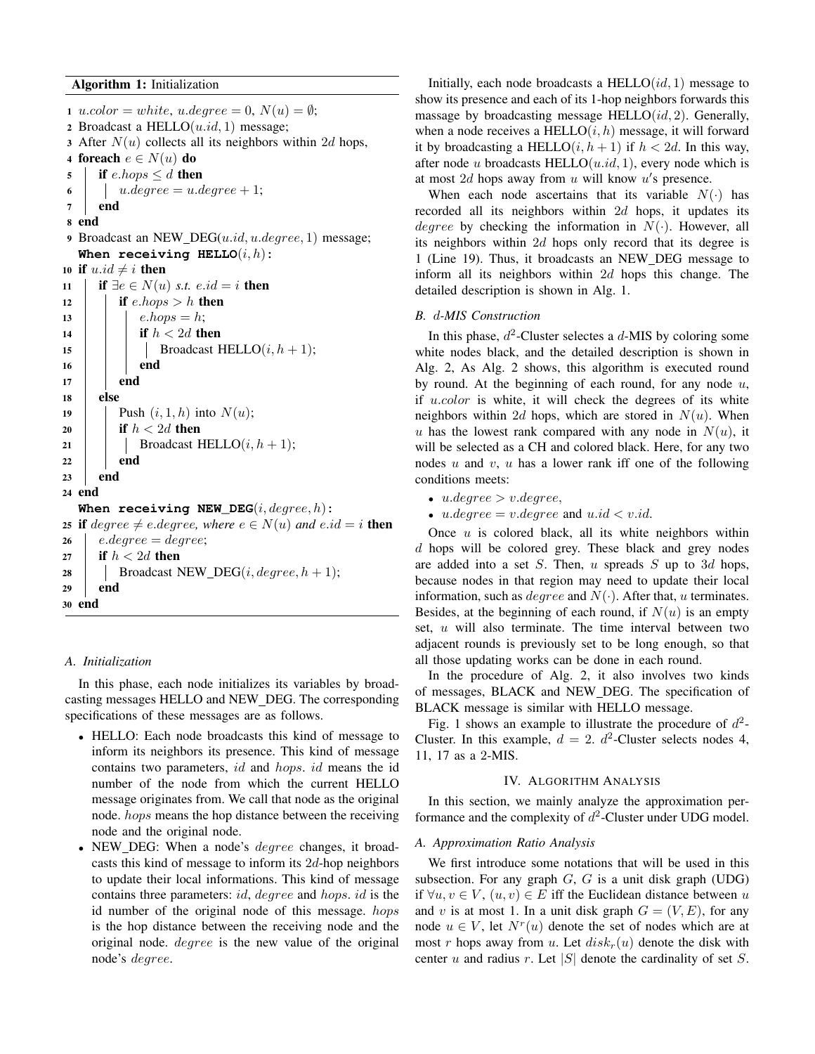#### Algorithm 1: Initialization

1 u.color = white, u.degree = 0,  $N(u) = \emptyset$ ; 2 Broadcast a HELLO $(u.id, 1)$  message; 3 After  $N(u)$  collects all its neighbors within 2d hops, 4 foreach  $e \in N(u)$  do 5 if  $e.hops \leq d$  then 6 | u.degree  $=u$ .degree  $+1$ ;  $7 \mid end$ 8 end 9 Broadcast an NEW\_DEG $(u.id, u.degree, 1)$  message; When receiving  $\texttt{HELLO}(i, h)$ : 10 if  $u.id \neq i$  then 11 **if**  $\exists e \in N(u) \text{ s.t. } e.id = i \text{ then }$ 12 **if**  $e \cdot \text{hops} > h$  then 13 | |  $e.hops = h;$ 14 **if**  $h < 2d$  then 15 | | | Broadcast HELLO $(i, h + 1);$ 16 | | | end  $17$  end 18 else 19 | Push  $(i, 1, h)$  into  $N(u)$ ; 20 **if**  $h < 2d$  then 21 | Broadcast HELLO $(i, h + 1);$  $22$  end  $23$  end 24 end **When receiving NEW\_DEG** $(i, degree, h)$ : 25 if  $degree \neq e \cdot degree$ , where  $e \in N(u)$  and  $e \cdot id = i$  then 26  $\vert$  e.degree = degree; 27 if  $h < 2d$  then 28 | Broadcast NEW\_DEG(i, degree,  $h + 1$ ); 29 end 30 end

### *A. Initialization*

In this phase, each node initializes its variables by broadcasting messages HELLO and NEW DEG. The corresponding specifications of these messages are as follows.

- HELLO: Each node broadcasts this kind of message to inform its neighbors its presence. This kind of message contains two parameters, id and hops. id means the id number of the node from which the current HELLO message originates from. We call that node as the original node. hops means the hop distance between the receiving node and the original node.
- NEW\_DEG: When a node's *degree* changes, it broadcasts this kind of message to inform its 2d-hop neighbors to update their local informations. This kind of message contains three parameters: id, degree and hops. id is the id number of the original node of this message. hops is the hop distance between the receiving node and the original node. *degree* is the new value of the original node's degree.

Initially, each node broadcasts a HELLO $(id, 1)$  message to show its presence and each of its 1-hop neighbors forwards this massage by broadcasting message HELLO( $id$ , 2). Generally, when a node receives a HELLO $(i, h)$  message, it will forward it by broadcasting a HELLO $(i, h + 1)$  if  $h < 2d$ . In this way, after node u broadcasts HELLO $(u.id, 1)$ , every node which is at most  $2d$  hops away from  $u$  will know  $u'$ s presence.

When each node ascertains that its variable  $N(\cdot)$  has recorded all its neighbors within 2d hops, it updates its degree by checking the information in  $N(\cdot)$ . However, all its neighbors within 2d hops only record that its degree is 1 (Line 19). Thus, it broadcasts an NEW DEG message to inform all its neighbors within  $2d$  hops this change. The detailed description is shown in Alg. 1.

#### *B.* d*-MIS Construction*

In this phase,  $d^2$ -Cluster selectes a  $d$ -MIS by coloring some white nodes black, and the detailed description is shown in Alg. 2, As Alg. 2 shows, this algorithm is executed round by round. At the beginning of each round, for any node  $u$ , if u.color is white, it will check the degrees of its white neighbors within 2d hops, which are stored in  $N(u)$ . When u has the lowest rank compared with any node in  $N(u)$ , it will be selected as a CH and colored black. Here, for any two nodes  $u$  and  $v$ ,  $u$  has a lower rank iff one of the following conditions meets:

- $u.degree > v.degree$ ,
- u.degree = v.degree and  $u.id < v.id$ .

Once  $u$  is colored black, all its white neighbors within d hops will be colored grey. These black and grey nodes are added into a set S. Then, u spreads S up to 3d hops, because nodes in that region may need to update their local information, such as *degree* and  $N(\cdot)$ . After that, u terminates. Besides, at the beginning of each round, if  $N(u)$  is an empty set,  $u$  will also terminate. The time interval between two adjacent rounds is previously set to be long enough, so that all those updating works can be done in each round.

In the procedure of Alg. 2, it also involves two kinds of messages, BLACK and NEW DEG. The specification of BLACK message is similar with HELLO message.

Fig. 1 shows an example to illustrate the procedure of  $d^2$ -Cluster. In this example,  $d = 2$ .  $d^2$ -Cluster selects nodes 4, 11, 17 as a 2-MIS.

### IV. ALGORITHM ANALYSIS

In this section, we mainly analyze the approximation performance and the complexity of  $d^2$ -Cluster under UDG model.

#### *A. Approximation Ratio Analysis*

We first introduce some notations that will be used in this subsection. For any graph  $G$ ,  $G$  is a unit disk graph (UDG) if  $\forall u, v \in V$ ,  $(u, v) \in E$  iff the Euclidean distance between u and v is at most 1. In a unit disk graph  $G = (V, E)$ , for any node  $u \in V$ , let  $N^{r}(u)$  denote the set of nodes which are at most r hops away from u. Let  $disk<sub>r</sub>(u)$  denote the disk with center u and radius r. Let  $|S|$  denote the cardinality of set S.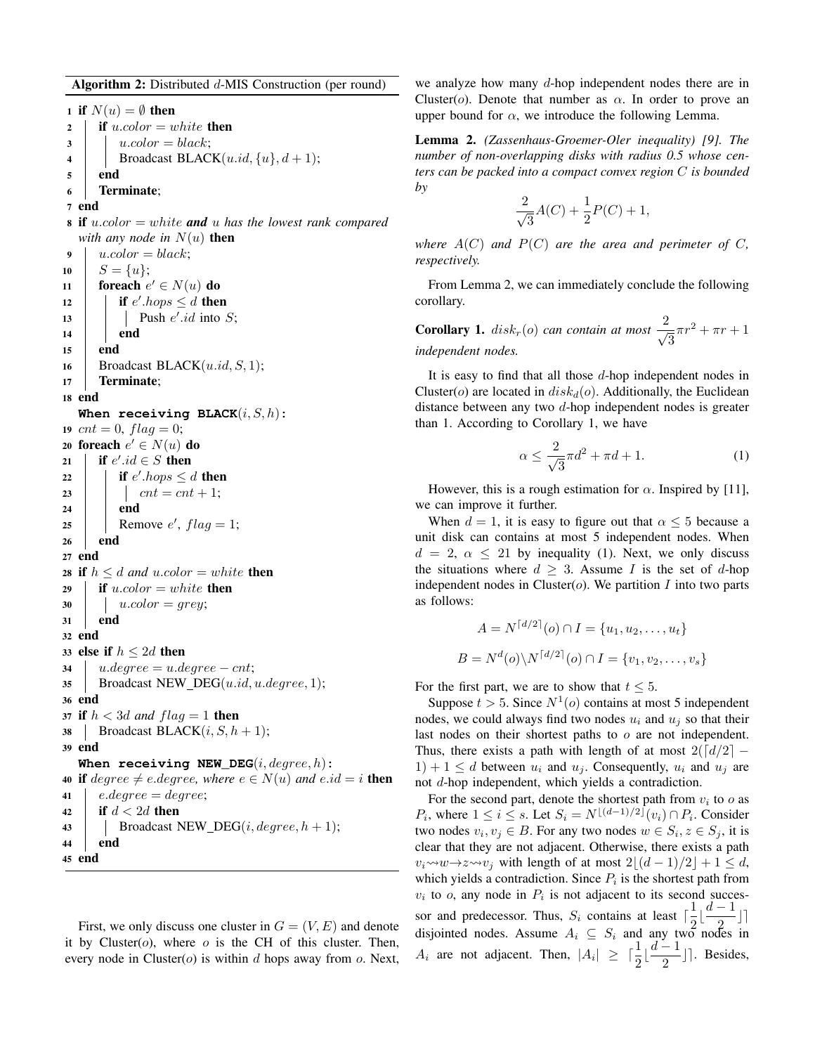Algorithm 2: Distributed d-MIS Construction (per round)

1 if  $N(u) = \emptyset$  then 2 if u.color = white then  $3 \mid ucolor = black;$ 4 | Broadcast BLACK $(u.id, \{u\}, d+1);$ 5 end <sup>6</sup> Terminate; 7 end <sup>8</sup> if u.color = white *and* u *has the lowest rank compared with any node in*  $N(u)$  **then** 9  $u.color = black;$ 10 |  $S = \{u\};$ 11 **foreach**  $e' \in N(u)$  do 12 **if**  $e'.hops \leq d$  **then** 13 | | Push  $e'.id$  into  $S$ ;  $14$  end 15 end 16 Broadcast BLACK $(u.id, S, 1);$ <sup>17</sup> Terminate; 18 end  $\textbf{When } \textbf{receiving } \textbf{BLACK}(i, S, h):$ 19  $cnt = 0, flag = 0;$ 20 foreach  $e' \in N(u)$  do 21  $\parallel$  if  $e'.id \in S$  then 22 **if**  $e'.hops \leq d$  then 23 | |  $cnt = cnt + 1;$  $24$  end 25 | Remove  $e'$ ,  $flag = 1$ ; 26 end 27 end 28 if  $h \leq d$  *and* u.color = white then 29 if u.color = white then  $30 \mid ucolor = grey;$ 31 end 32 end 33 else if  $h \leq 2d$  then  $34 \mid u.degree = u.degree - cnt;$ 35 | Broadcast NEW\_DEG $(u.id, u.degree, 1);$ 36 end 37 if  $h < 3d$  *and*  $flag = 1$  then 38 | Broadcast BLACK $(i, S, h + 1);$ <sup>39</sup> end When receiving NEW\_DE $G(i, degree, h)$ : 40 if  $degree \neq e.degree$ , where  $e \in N(u)$  and  $e.id = i$  then 41  $\mid$  e.degree = degree; 42 if  $d < 2d$  then 43 | Broadcast NEW\_DEG $(i, degree, h + 1);$ <sup>44</sup> end <sup>45</sup> end

First, we only discuss one cluster in  $G = (V, E)$  and denote it by Cluster $(o)$ , where  $o$  is the CH of this cluster. Then, every node in Cluster $(o)$  is within d hops away from  $o$ . Next,

we analyze how many d-hop independent nodes there are in Cluster(o). Denote that number as  $\alpha$ . In order to prove an upper bound for  $\alpha$ , we introduce the following Lemma.

Lemma 2. *(Zassenhaus-Groemer-Oler inequality) [9]. The number of non-overlapping disks with radius 0.5 whose centers can be packed into a compact convex region* C *is bounded by*

$$
\frac{2}{\sqrt{3}}A(C) + \frac{1}{2}P(C) + 1,
$$

*where*  $A(C)$  *and*  $P(C)$  *are the area and perimeter of* C, *respectively.*

From Lemma 2, we can immediately conclude the following corollary.

**Corollary 1.**  $disk<sub>r</sub>(o)$  can contain at most  $\frac{2}{\sqrt{2}}$  $\frac{1}{3}\pi r^2 + \pi r + 1$ *independent nodes.*

It is easy to find that all those d-hop independent nodes in Cluster(o) are located in  $disk_d(o)$ . Additionally, the Euclidean distance between any two  $d$ -hop independent nodes is greater than 1. According to Corollary 1, we have

$$
\alpha \le \frac{2}{\sqrt{3}} \pi d^2 + \pi d + 1. \tag{1}
$$

However, this is a rough estimation for  $\alpha$ . Inspired by [11], we can improve it further.

When  $d = 1$ , it is easy to figure out that  $\alpha \leq 5$  because a unit disk can contains at most 5 independent nodes. When  $d = 2, \alpha \le 21$  by inequality (1). Next, we only discuss the situations where  $d \geq 3$ . Assume I is the set of d-hop independent nodes in Cluster $(o)$ . We partition I into two parts as follows:

$$
A = N^{\lceil d/2 \rceil}(o) \cap I = \{u_1, u_2, \dots, u_t\}
$$

$$
B = N^d(o) \backslash N^{\lceil d/2 \rceil}(o) \cap I = \{v_1, v_2, \dots, v_s\}
$$

For the first part, we are to show that  $t \leq 5$ .

Suppose  $t > 5$ . Since  $N^1(o)$  contains at most 5 independent nodes, we could always find two nodes  $u_i$  and  $u_j$  so that their last nodes on their shortest paths to  $o$  are not independent. Thus, there exists a path with length of at most  $2([d/2] 1) + 1 \le d$  between  $u_i$  and  $u_j$ . Consequently,  $u_i$  and  $u_j$  are not d-hop independent, which yields a contradiction.

For the second part, denote the shortest path from  $v_i$  to  $o$  as  $P_i$ , where  $1 \le i \le s$ . Let  $S_i = N^{\lfloor (d-1)/2 \rfloor}(v_i) \cap P_i$ . Consider two nodes  $v_i, v_j \in B$ . For any two nodes  $w \in S_i$ ,  $z \in S_j$ , it is clear that they are not adjacent. Otherwise, there exists a path  $v_i \rightarrow w \rightarrow z \rightarrow v_j$  with length of at most  $2|(d - 1)/2| + 1 \leq d$ , which yields a contradiction. Since  $P_i$  is the shortest path from  $v_i$  to  $o$ , any node in  $P_i$  is not adjacent to its second successor and predecessor. Thus,  $S_i$  contains at least  $\lceil \frac{1}{2} \rceil$  $\frac{1}{2} \lfloor \frac{d-1}{2} \rfloor$  $\frac{1}{2}$ ] disjointed nodes. Assume  $A_i \subseteq S_i$  and any two nodes in  $A_i$  are not adjacent. Then,  $|A_i| \geq \lceil \frac{1}{2} \lfloor \frac{d-1}{2} \rfloor$  $\frac{1}{2}$ ]. Besides,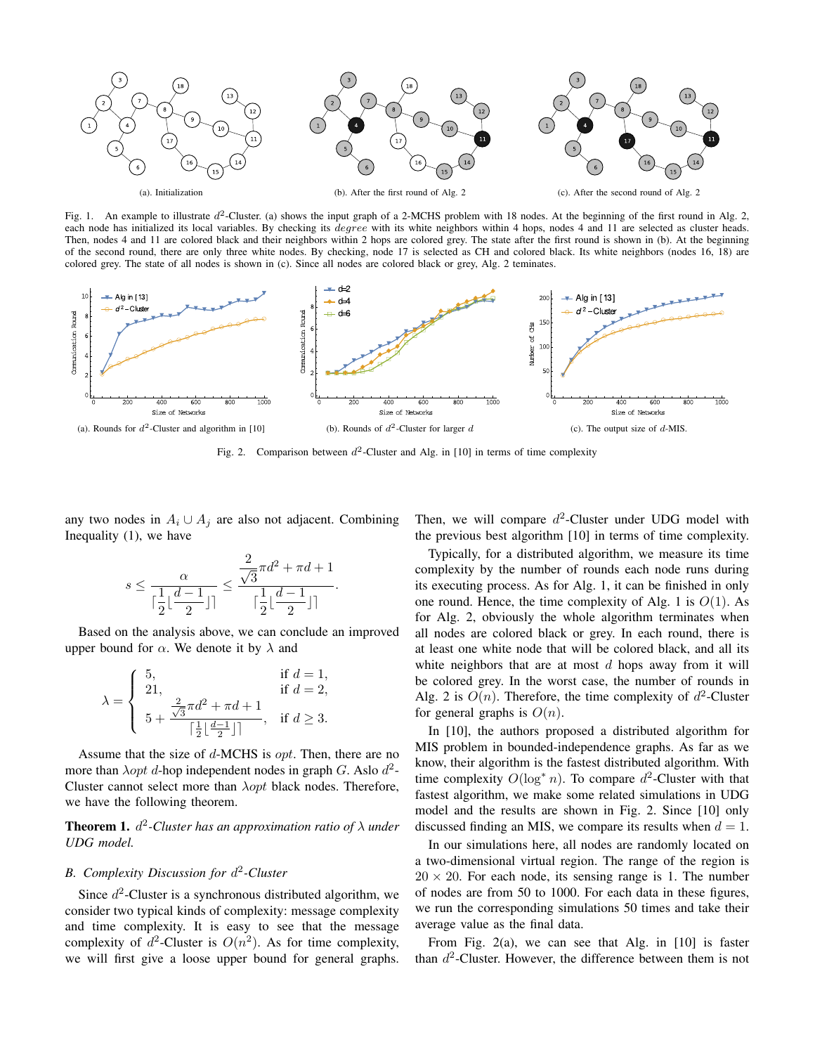

Fig. 1. An example to illustrate  $d^2$ -Cluster. (a) shows the input graph of a 2-MCHS problem with 18 nodes. At the beginning of the first round in Alg. 2, each node has initialized its local variables. By checking its *degree* with its white neighbors within 4 hops, nodes 4 and 11 are selected as cluster heads. Then, nodes 4 and 11 are colored black and their neighbors within 2 hops are colored grey. The state after the first round is shown in (b). At the beginning of the second round, there are only three white nodes. By checking, node 17 is selected as CH and colored black. Its white neighbors (nodes 16, 18) are colored grey. The state of all nodes is shown in (c). Since all nodes are colored black or grey, Alg. 2 teminates.



Fig. 2. Comparison between  $d^2$ -Cluster and Alg. in [10] in terms of time complexity

any two nodes in  $A_i \cup A_j$  are also not adjacent. Combining Inequality (1), we have

$$
s \le \frac{\alpha}{\lceil\frac{1}{2}\lfloor\frac{d-1}{2}\rfloor\rceil} \le \frac{\frac{2}{\sqrt{3}}\pi d^2 + \pi d + 1}{\lceil\frac{1}{2}\lfloor\frac{d-1}{2}\rfloor\rceil}.
$$

Based on the analysis above, we can conclude an improved upper bound for  $\alpha$ . We denote it by  $\lambda$  and

$$
\lambda = \begin{cases}\n5, & \text{if } d = 1, \\
21, & \text{if } d = 2, \\
5 + \frac{2}{\sqrt{3}} \pi d^2 + \pi d + 1 & \text{if } d \ge 3.\n\end{cases}
$$

Assume that the size of d-MCHS is opt. Then, there are no more than  $\lambda opt$  d-hop independent nodes in graph G. Aslo  $d^2$ -Cluster cannot select more than  $\lambda opt$  black nodes. Therefore, we have the following theorem.

**Theorem 1.**  $d^2$ -Cluster has an approximation ratio of  $\lambda$  under *UDG model.*

## *B. Complexity Discussion for* d 2 *-Cluster*

Since  $d^2$ -Cluster is a synchronous distributed algorithm, we consider two typical kinds of complexity: message complexity and time complexity. It is easy to see that the message complexity of  $d^2$ -Cluster is  $O(n^2)$ . As for time complexity, we will first give a loose upper bound for general graphs.

Then, we will compare  $d^2$ -Cluster under UDG model with the previous best algorithm [10] in terms of time complexity.

Typically, for a distributed algorithm, we measure its time complexity by the number of rounds each node runs during its executing process. As for Alg. 1, it can be finished in only one round. Hence, the time complexity of Alg. 1 is  $O(1)$ . As for Alg. 2, obviously the whole algorithm terminates when all nodes are colored black or grey. In each round, there is at least one white node that will be colored black, and all its white neighbors that are at most  $d$  hops away from it will be colored grey. In the worst case, the number of rounds in Alg. 2 is  $O(n)$ . Therefore, the time complexity of  $d^2$ -Cluster for general graphs is  $O(n)$ .

In [10], the authors proposed a distributed algorithm for MIS problem in bounded-independence graphs. As far as we know, their algorithm is the fastest distributed algorithm. With time complexity  $O(\log^* n)$ . To compare  $d^2$ -Cluster with that fastest algorithm, we make some related simulations in UDG model and the results are shown in Fig. 2. Since [10] only discussed finding an MIS, we compare its results when  $d = 1$ .

In our simulations here, all nodes are randomly located on a two-dimensional virtual region. The range of the region is  $20 \times 20$ . For each node, its sensing range is 1. The number of nodes are from 50 to 1000. For each data in these figures, we run the corresponding simulations 50 times and take their average value as the final data.

From Fig. 2(a), we can see that Alg. in [10] is faster than  $d^2$ -Cluster. However, the difference between them is not